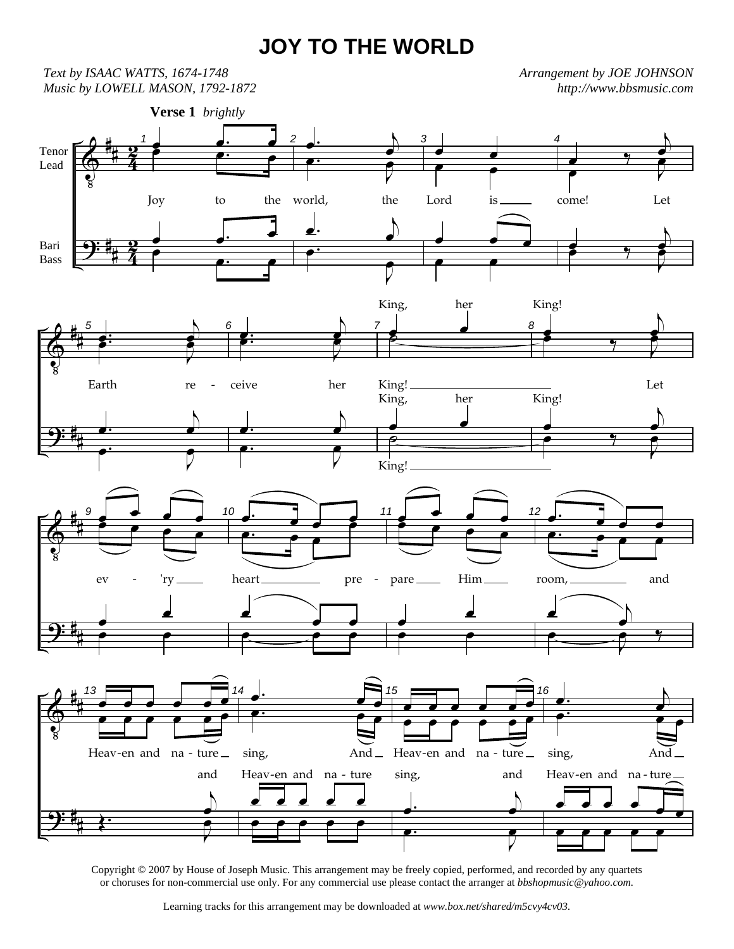## **JOY TO THE WORLD**

 $\pmb{\Phi}$  $\overline{\mathbf{P}}$ # # # #  $\tilde{4}$ <u>रु</u>  $\tilde{4}$ <u>እ</u> Tenor Lead Bari Bass 1  $\frac{e}{e}$ œ œ. œ Joy to the  $\frac{1}{2}$   $\frac{1}{2}$   $\frac{1}{2}$   $\frac{1}{2}$ œ  $\overline{\mathbf{e} \cdot \mathbf{e}}$ **Verse 1** *brightly* 2 <u>.</u>  $\overline{p}$  $\frac{1}{2}$ œ.  $\nabla$ e<br>F world, the <u>J.</u>  $\overline{b}$ œ œ.  $\nabla$  $\overline{\overline{\phantom{0}}}$ 3 œ œ  $\frac{1}{\sqrt{2}}$ Lord is <u>● </u> œ œ 4  $\frac{1}{2}$  $\overline{b}$ œ  $\overline{\phantom{a}}$ e<br>C come! Let œ  $\overline{9}$  $\overline{p}$ œ  $\bullet$   $\bullet$   $\bullet$ **P**  $\Phi$  $\overline{\mathbf{P}}$ # # # # 5 **d.**  $\overline{b}$  $\cdot$   $\cdot$   $\cdot$ **P** J **P** Earth re œ.  $\overline{b}$ œ œ.  $\nabla$  $\overline{\overline{\phantom{0}}\phantom{0}}$ 6 **d.**  $\overline{p}$ œ œ. Z e<br>B ceive her œ.  $\overline{D}$ œ œ.  $\nabla$ œ 7 e commence de la commence de la commence de la commence de la commence de la commence de la commence de la comm<br>€ King, her **≥** King! œ œ King, her  $\frac{1}{\rho}$ King! 8 œ  $\overline{ }$  $\overline{b}$ œ King! **P** J e<br>B Let œ  $\overline{\mathbf{y}}$  $\overline{b}$ œ King!  $\bullet$   $\bullet$   $\bullet$ e<br>F  $\Phi$  $\overline{\mathbf{P}}$ # # # # 9 œ  $\frac{1}{\sigma}$ e <del>∞ e</del> ∞<br>□ ● ● ● ● ev - 'ry œ œ  $\qquad \qquad \overline{\qquad \qquad }$ 10 <u>.</u>  $\frac{1}{\cdot}$ œ œ. œ œ **P** heart pre œ  $\frac{1}{1}$  $\overline{\mathbf{e}^{\mathbf{e}}$ 11 œ <u>. . .</u> e <del>∞ e</del> ∞<br>□ ● ● ● ● pare Him œ œ  $\qquad \qquad \bullet$ 12 <u>.</u> <u></u> œ. œ œ œ room, and  $\sqrt{2}$ œ  $\overline{\mathbf{e}}$   $\overline{\mathbf{e}}$   $\overline{\mathbf{e}}$  $\nabla$  $\begin{array}{|c|c|c|c|c|c|c|c|} \hline \text{Q} & \text{P} & \text{P} & \text{P} & \text{P} & \text{P} & \text{P} & \text{P} & \text{P} & \text{P} & \text{P} & \text{P} & \text{P} & \text{P} & \text{P} & \text{P} & \text{P} & \text{P} & \text{P} & \text{P} & \text{P} & \text{P} & \text{P} & \text{P} & \text{P} & \text{P} & \text{P} & \text{P} & \text{P} & \text{P} & \text{P} & \text{P} & \text$  $\overline{\mathbf{P}}$ # # # # 13 ▅<del>▅</del>▗▗▗▗▗▗▗ œ œ œ œ œ œ Heav-en and na - ture  $\perp$ Œ.  $\overline{b}$  $\frac{1}{2}$ and J e<br>F  $\overline{A}$ œ. œ œ  $\overline{e}$ .  $\overline{e}$ sing, And œ œ œ œ œ Heav-en and na - ture œ œ œ œ œ 15 œ œ œ œ œ œ œ œ œ œ œ œ Heav-en and na - ture <u>.</u>  $\overline{b}$ œ sing, and œ.  $\nabla$ e<br>B 16 œ.  $\overline{p}$  $\overline{\bullet}$ œ. e<br>C e sing, And œ œ œ œ <u>. .</u> Heav-en and na - ture œ œ œ œ œ *Text by ISAAC WATTS, 1674-1748 Music by LOWELL MASON, 1792-1872 Arrangement by JOE JOHNSON http://www.bbsmusic.com*

Copyright © 2007 by House of Joseph Music. This arrangement may be freely copied, performed, and recorded by any quartets or choruses for non-commercial use only. For any commercial use please contact the arranger at *bbshopmusic@yahoo.com.*

Learning tracks for this arrangement may be downloaded at *www.box.net/shared/m5cvy4cv03.*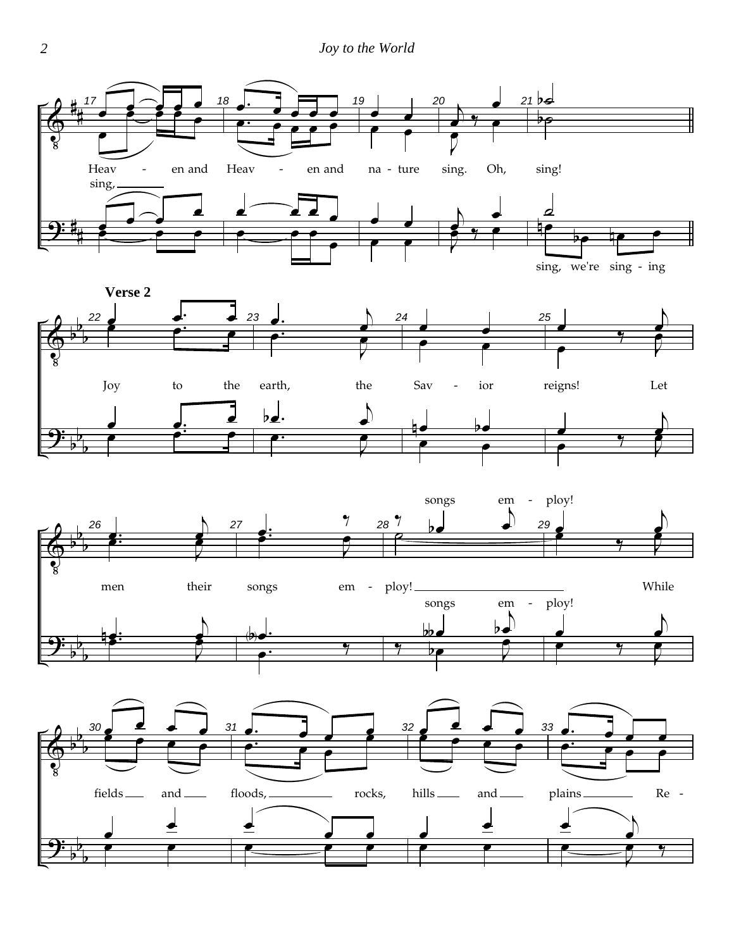





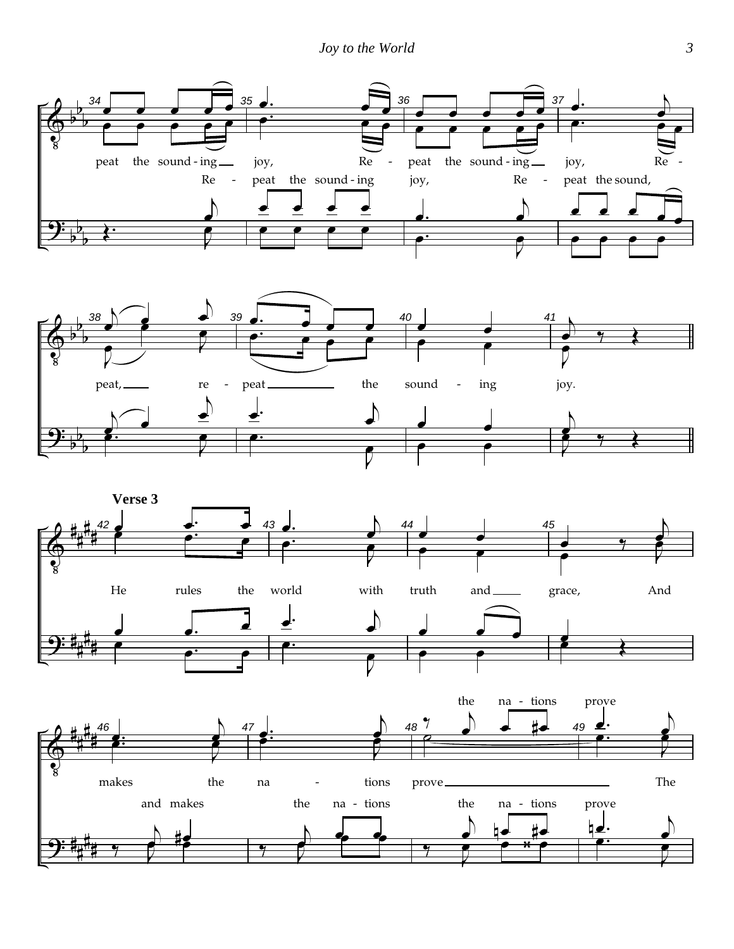





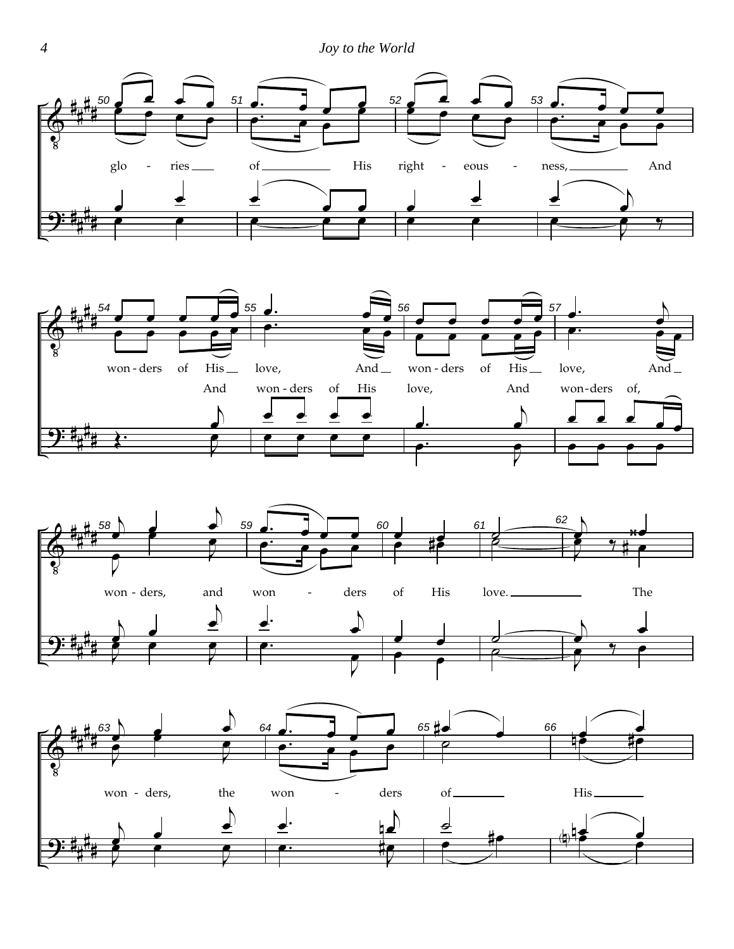